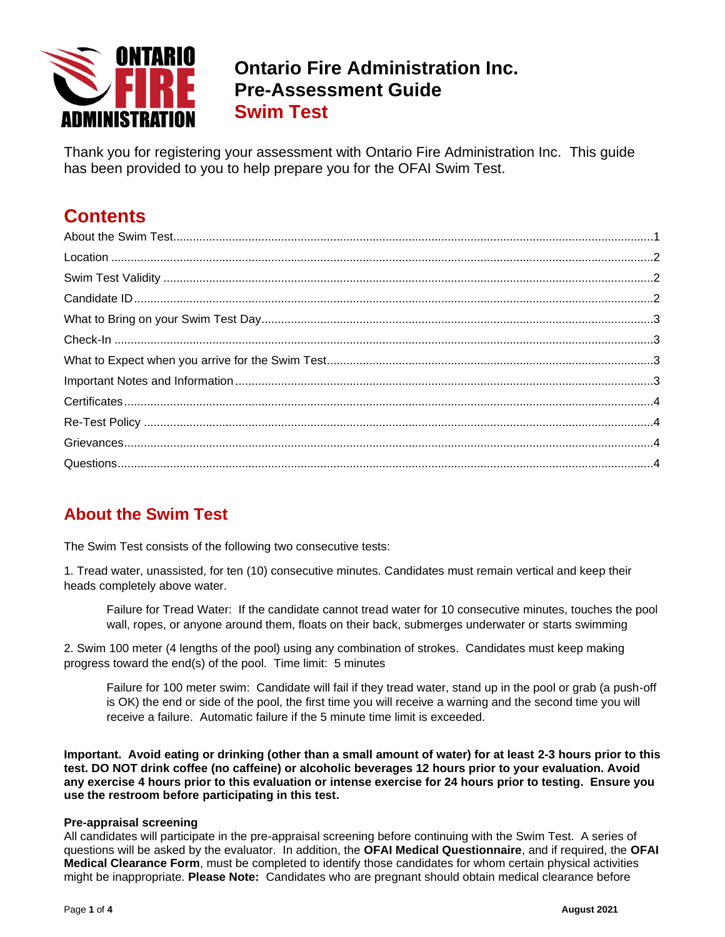

# **Ontario Fire Administration Inc. Pre-Assessment Guide Swim Test**

Thank you for registering your assessment with Ontario Fire Administration Inc. This guide has been provided to you to help prepare you for the OFAI Swim Test.

# **Contents**

# <span id="page-0-0"></span>**About the Swim Test**

The Swim Test consists of the following two consecutive tests:

1. Tread water, unassisted, for ten (10) consecutive minutes. Candidates must remain vertical and keep their heads completely above water.

Failure for Tread Water: If the candidate cannot tread water for 10 consecutive minutes, touches the pool wall, ropes, or anyone around them, floats on their back, submerges underwater or starts swimming

2. Swim 100 meter (4 lengths of the pool) using any combination of strokes. Candidates must keep making progress toward the end(s) of the pool. Time limit: 5 minutes

Failure for 100 meter swim: Candidate will fail if they tread water, stand up in the pool or grab (a push-off is OK) the end or side of the pool, the first time you will receive a warning and the second time you will receive a failure. Automatic failure if the 5 minute time limit is exceeded.

**Important. Avoid eating or drinking (other than a small amount of water) for at least 2-3 hours prior to this test. DO NOT drink coffee (no caffeine) or alcoholic beverages 12 hours prior to your evaluation. Avoid any exercise 4 hours prior to this evaluation or intense exercise for 24 hours prior to testing. Ensure you use the restroom before participating in this test.**

#### <span id="page-0-1"></span>**Pre-appraisal screening**

All candidates will participate in the pre-appraisal screening before continuing with the Swim Test. A series of questions will be asked by the evaluator. In addition, the **OFAI Medical Questionnaire**, and if required, the **OFAI Medical Clearance Form**, must be completed to identify those candidates for whom certain physical activities might be inappropriate. **Please Note:** Candidates who are pregnant should obtain medical clearance before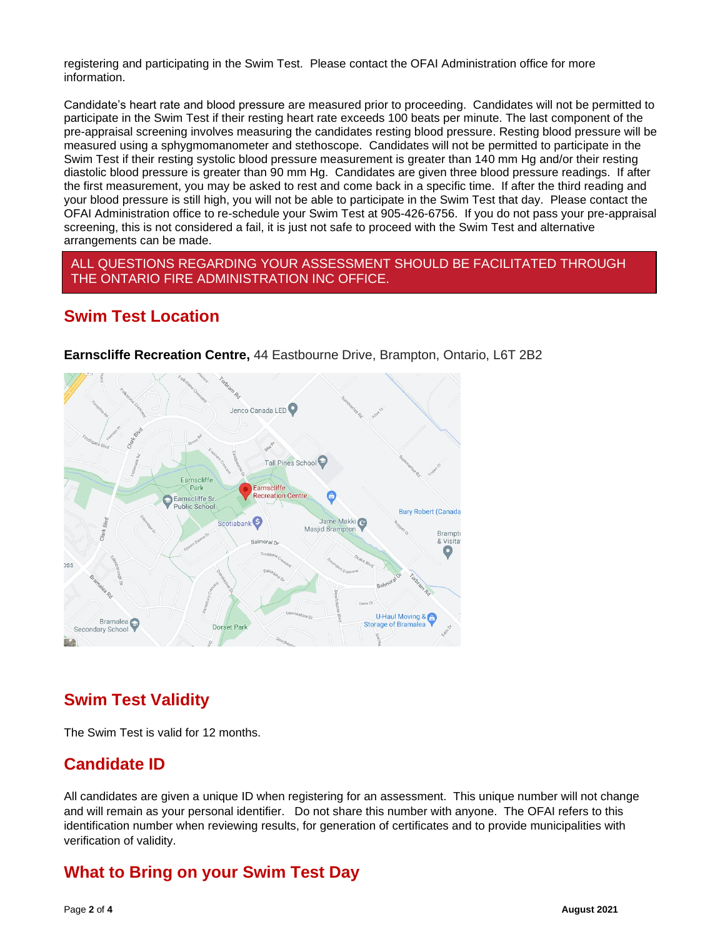registering and participating in the Swim Test. Please contact the OFAI Administration office for more information.

Candidate's heart rate and blood pressure are measured prior to proceeding. Candidates will not be permitted to participate in the Swim Test if their resting heart rate exceeds 100 beats per minute. The last component of the pre-appraisal screening involves measuring the candidates resting blood pressure. Resting blood pressure will be measured using a sphygmomanometer and stethoscope. Candidates will not be permitted to participate in the Swim Test if their resting systolic blood pressure measurement is greater than 140 mm Hg and/or their resting diastolic blood pressure is greater than 90 mm Hg. Candidates are given three blood pressure readings. If after the first measurement, you may be asked to rest and come back in a specific time. If after the third reading and your blood pressure is still high, you will not be able to participate in the Swim Test that day. Please contact the OFAI Administration office to re-schedule your Swim Test at 905-426-6756. If you do not pass your pre-appraisal screening, this is not considered a fail, it is just not safe to proceed with the Swim Test and alternative arrangements can be made.

#### ALL QUESTIONS REGARDING YOUR ASSESSMENT SHOULD BE FACILITATED THROUGH THE ONTARIO FIRE ADMINISTRATION INC OFFICE.

#### <span id="page-1-0"></span>**Swim Test Location**



**Earnscliffe Recreation Centre,** 44 Eastbourne Drive, Brampton, Ontario, L6T 2B2

### **Swim Test Validity**

The Swim Test is valid for 12 months.

### <span id="page-1-1"></span>**Candidate ID**

All candidates are given a unique ID when registering for an assessment. This unique number will not change and will remain as your personal identifier. Do not share this number with anyone. The OFAI refers to this identification number when reviewing results, for generation of certificates and to provide municipalities with verification of validity.

### <span id="page-1-2"></span>**What to Bring on your Swim Test Day**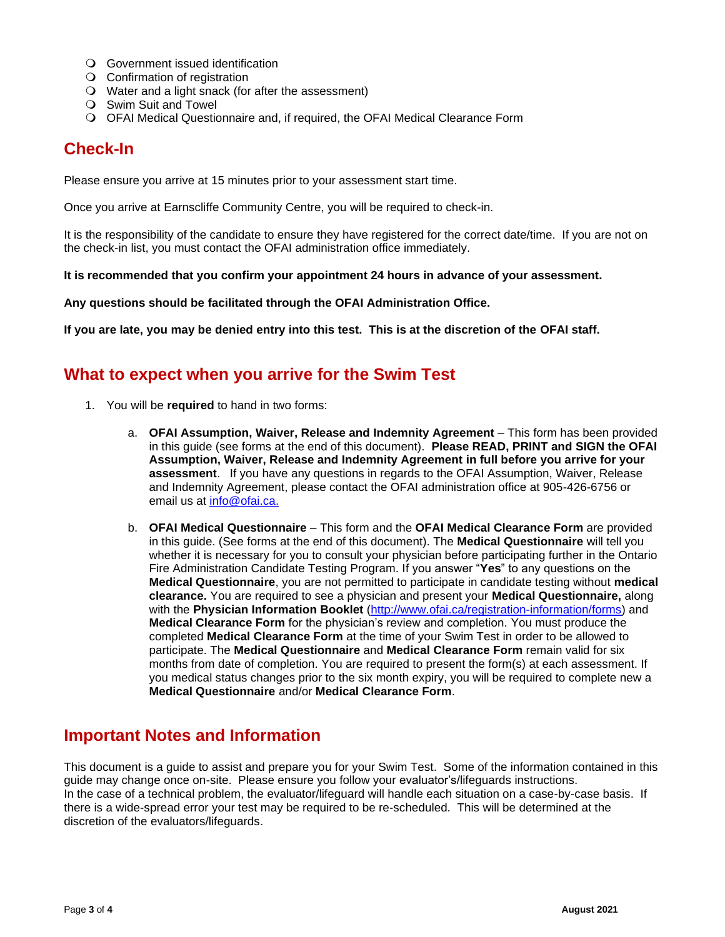- Government issued identification
- Confirmation of registration
- Water and a light snack (for after the assessment)
- Swim Suit and Towel
- <span id="page-2-0"></span>OFAI Medical Questionnaire and, if required, the OFAI Medical Clearance Form

# **Check-In**

Please ensure you arrive at 15 minutes prior to your assessment start time.

Once you arrive at Earnscliffe Community Centre, you will be required to check-in.

It is the responsibility of the candidate to ensure they have registered for the correct date/time. If you are not on the check-in list, you must contact the OFAI administration office immediately.

**It is recommended that you confirm your appointment 24 hours in advance of your assessment.** 

#### **Any questions should be facilitated through the OFAI Administration Office.**

**If you are late, you may be denied entry into this test. This is at the discretion of the OFAI staff.**

#### <span id="page-2-1"></span>**What to expect when you arrive for the Swim Test**

- 1. You will be **required** to hand in two forms:
	- a. **OFAI Assumption, Waiver, Release and Indemnity Agreement** This form has been provided in this guide (see forms at the end of this document). **Please READ, PRINT and SIGN the OFAI Assumption, Waiver, Release and Indemnity Agreement in full before you arrive for your assessment**. If you have any questions in regards to the OFAI Assumption, Waiver, Release and Indemnity Agreement, please contact the OFAI administration office at 905-426-6756 or email us at [info@ofai.ca.](mailto:info@ofai.ca)
	- b. **OFAI Medical Questionnaire** This form and the **OFAI Medical Clearance Form** are provided in this guide. (See forms at the end of this document). The **Medical Questionnaire** will tell you whether it is necessary for you to consult your physician before participating further in the Ontario Fire Administration Candidate Testing Program. If you answer "**Yes**" to any questions on the **Medical Questionnaire**, you are not permitted to participate in candidate testing without **medical clearance.** You are required to see a physician and present your **Medical Questionnaire,** along with the **Physician Information Booklet** [\(http://www.ofai.ca/registration-information/forms\)](http://www.ofai.ca/registration-information/forms) and **Medical Clearance Form** for the physician's review and completion. You must produce the completed **Medical Clearance Form** at the time of your Swim Test in order to be allowed to participate. The **Medical Questionnaire** and **Medical Clearance Form** remain valid for six months from date of completion. You are required to present the form(s) at each assessment. If you medical status changes prior to the six month expiry, you will be required to complete new a **Medical Questionnaire** and/or **Medical Clearance Form**.

#### <span id="page-2-2"></span>**Important Notes and Information**

This document is a guide to assist and prepare you for your Swim Test. Some of the information contained in this guide may change once on-site. Please ensure you follow your evaluator's/lifeguards instructions. In the case of a technical problem, the evaluator/lifeguard will handle each situation on a case-by-case basis. If there is a wide-spread error your test may be required to be re-scheduled. This will be determined at the discretion of the evaluators/lifeguards.